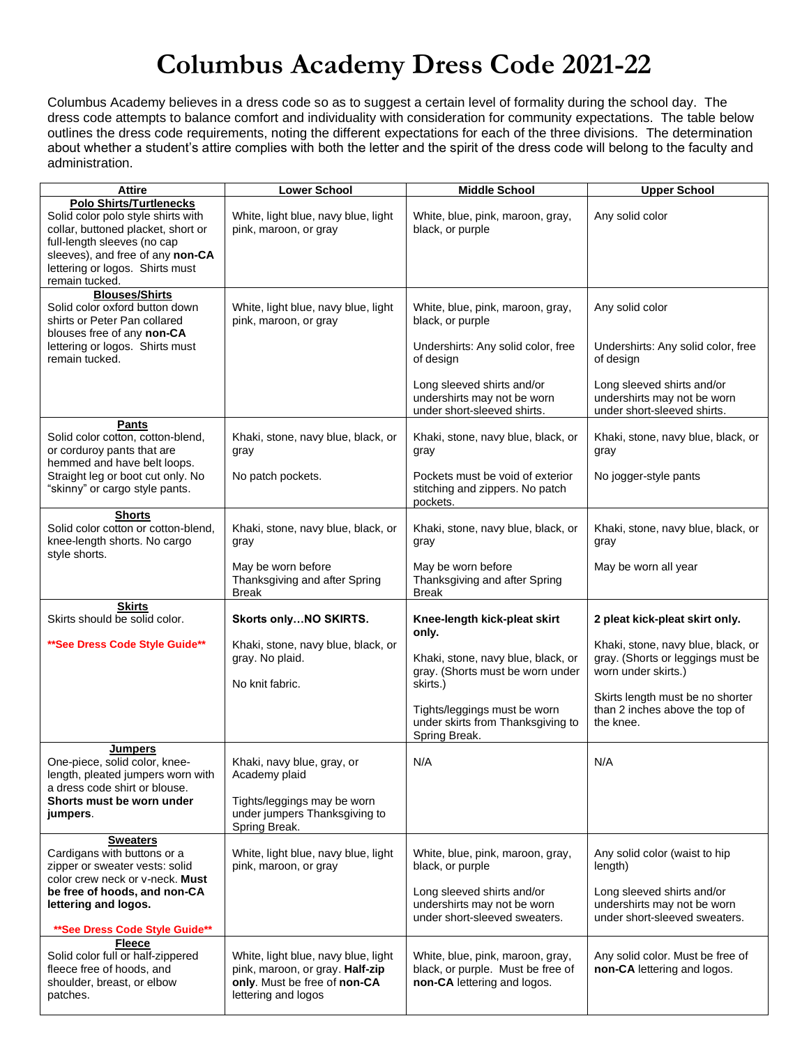## **Columbus Academy Dress Code 2021-22**

Columbus Academy believes in a dress code so as to suggest a certain level of formality during the school day. The dress code attempts to balance comfort and individuality with consideration for community expectations. The table below outlines the dress code requirements, noting the different expectations for each of the three divisions. The determination about whether a student's attire complies with both the letter and the spirit of the dress code will belong to the faculty and administration.

| Attire                                                                                                                                                                                                                             | <b>Lower School</b>                                                                                                           | <b>Middle School</b>                                                                                 | <b>Upper School</b>                                                                            |
|------------------------------------------------------------------------------------------------------------------------------------------------------------------------------------------------------------------------------------|-------------------------------------------------------------------------------------------------------------------------------|------------------------------------------------------------------------------------------------------|------------------------------------------------------------------------------------------------|
| <b>Polo Shirts/Turtlenecks</b><br>Solid color polo style shirts with<br>collar, buttoned placket, short or<br>full-length sleeves (no cap<br>sleeves), and free of any non-CA<br>lettering or logos. Shirts must<br>remain tucked. | White, light blue, navy blue, light<br>pink, maroon, or gray                                                                  | White, blue, pink, maroon, gray,<br>black, or purple                                                 | Any solid color                                                                                |
| <b>Blouses/Shirts</b>                                                                                                                                                                                                              |                                                                                                                               |                                                                                                      |                                                                                                |
| Solid color oxford button down<br>shirts or Peter Pan collared<br>blouses free of any non-CA                                                                                                                                       | White, light blue, navy blue, light<br>pink, maroon, or gray                                                                  | White, blue, pink, maroon, gray,<br>black, or purple                                                 | Any solid color                                                                                |
| lettering or logos. Shirts must<br>remain tucked.                                                                                                                                                                                  |                                                                                                                               | Undershirts: Any solid color, free<br>of design                                                      | Undershirts: Any solid color, free<br>of design                                                |
|                                                                                                                                                                                                                                    |                                                                                                                               | Long sleeved shirts and/or<br>undershirts may not be worn<br>under short-sleeved shirts.             | Long sleeved shirts and/or<br>undershirts may not be worn<br>under short-sleeved shirts.       |
| <b>Pants</b><br>Solid color cotton, cotton-blend,<br>or corduroy pants that are<br>hemmed and have belt loops.                                                                                                                     | Khaki, stone, navy blue, black, or<br>gray                                                                                    | Khaki, stone, navy blue, black, or<br>gray                                                           | Khaki, stone, navy blue, black, or<br>gray                                                     |
| Straight leg or boot cut only. No<br>"skinny" or cargo style pants.                                                                                                                                                                | No patch pockets.                                                                                                             | Pockets must be void of exterior<br>stitching and zippers. No patch<br>pockets.                      | No jogger-style pants                                                                          |
| <b>Shorts</b><br>Solid color cotton or cotton-blend,<br>knee-length shorts. No cargo<br>style shorts.                                                                                                                              | Khaki, stone, navy blue, black, or<br>gray                                                                                    | Khaki, stone, navy blue, black, or<br>gray                                                           | Khaki, stone, navy blue, black, or<br>gray                                                     |
|                                                                                                                                                                                                                                    | May be worn before<br>Thanksgiving and after Spring<br>Break                                                                  | May be worn before<br>Thanksgiving and after Spring<br><b>Break</b>                                  | May be worn all year                                                                           |
| <b>Skirts</b><br>Skirts should be solid color.                                                                                                                                                                                     | Skorts onlyNO SKIRTS.                                                                                                         | Knee-length kick-pleat skirt<br>only.                                                                | 2 pleat kick-pleat skirt only.                                                                 |
| ** See Dress Code Style Guide**                                                                                                                                                                                                    | Khaki, stone, navy blue, black, or<br>gray. No plaid.<br>No knit fabric.                                                      | Khaki, stone, navy blue, black, or<br>gray. (Shorts must be worn under<br>skirts.)                   | Khaki, stone, navy blue, black, or<br>gray. (Shorts or leggings must be<br>worn under skirts.) |
|                                                                                                                                                                                                                                    |                                                                                                                               | Tights/leggings must be worn<br>under skirts from Thanksgiving to<br>Spring Break.                   | Skirts length must be no shorter<br>than 2 inches above the top of<br>the knee.                |
| <b>Jumpers</b><br>One-piece, solid color, knee-<br>length, pleated jumpers worn with<br>a dress code shirt or blouse.                                                                                                              | Khaki, navy blue, gray, or<br>Academy plaid                                                                                   | N/A                                                                                                  | N/A                                                                                            |
| Shorts must be worn under<br>jumpers.                                                                                                                                                                                              | Tights/leggings may be worn<br>under jumpers Thanksgiving to<br>Spring Break.                                                 |                                                                                                      |                                                                                                |
| <b>Sweaters</b><br>Cardigans with buttons or a<br>zipper or sweater vests: solid<br>color crew neck or v-neck. Must                                                                                                                | White, light blue, navy blue, light<br>pink, maroon, or gray                                                                  | White, blue, pink, maroon, gray,<br>black, or purple                                                 | Any solid color (waist to hip<br>length)                                                       |
| be free of hoods, and non-CA<br>lettering and logos.<br>** See Dress Code Style Guide**                                                                                                                                            |                                                                                                                               | Long sleeved shirts and/or<br>undershirts may not be worn<br>under short-sleeved sweaters.           | Long sleeved shirts and/or<br>undershirts may not be worn<br>under short-sleeved sweaters.     |
| <b>Fleece</b>                                                                                                                                                                                                                      |                                                                                                                               |                                                                                                      |                                                                                                |
| Solid color full or half-zippered<br>fleece free of hoods, and<br>shoulder, breast, or elbow<br>patches.                                                                                                                           | White, light blue, navy blue, light<br>pink, maroon, or gray. Half-zip<br>only. Must be free of non-CA<br>lettering and logos | White, blue, pink, maroon, gray,<br>black, or purple. Must be free of<br>non-CA lettering and logos. | Any solid color. Must be free of<br>non-CA lettering and logos.                                |